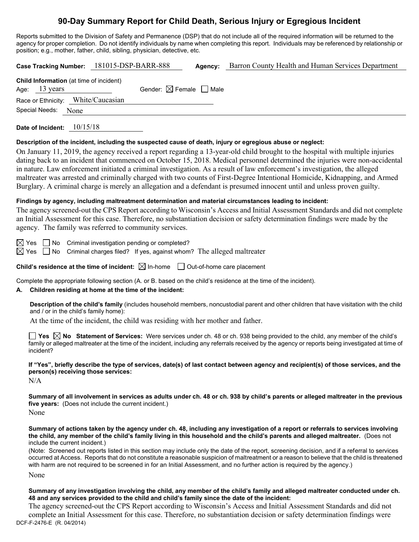# **90-Day Summary Report for Child Death, Serious Injury or Egregious Incident**

Reports submitted to the Division of Safety and Permanence (DSP) that do not include all of the required information will be returned to the agency for proper completion. Do not identify individuals by name when completing this report. Individuals may be referenced by relationship or position; e.g., mother, father, child, sibling, physician, detective, etc.

| 181015-DSP-BARR-888<br>Barron County Health and Human Services Department<br><b>Case Tracking Number:</b><br>Agency:                                                                                                                                                                                                                                                                                                                                                                                                                                                                                                                                                                                                                                                 |  |  |  |  |
|----------------------------------------------------------------------------------------------------------------------------------------------------------------------------------------------------------------------------------------------------------------------------------------------------------------------------------------------------------------------------------------------------------------------------------------------------------------------------------------------------------------------------------------------------------------------------------------------------------------------------------------------------------------------------------------------------------------------------------------------------------------------|--|--|--|--|
| Child Information (at time of incident)<br>Gender: $\boxtimes$ Female $\Box$ Male<br>Age: 13 years<br>Race or Ethnicity: White/Caucasian<br>Special Needs:<br>None                                                                                                                                                                                                                                                                                                                                                                                                                                                                                                                                                                                                   |  |  |  |  |
| Date of Incident: 10/15/18                                                                                                                                                                                                                                                                                                                                                                                                                                                                                                                                                                                                                                                                                                                                           |  |  |  |  |
| Description of the incident, including the suspected cause of death, injury or egregious abuse or neglect:<br>On January 11, 2019, the agency received a report regarding a 13-year-old child brought to the hospital with multiple injuries<br>dating back to an incident that commenced on October 15, 2018. Medical personnel determined the injuries were non-accidental<br>in nature. Law enforcement initiated a criminal investigation. As a result of law enforcement's investigation, the alleged<br>maltreater was arrested and criminally charged with two counts of First-Degree Intentional Homicide, Kidnapping, and Armed<br>Burglary. A criminal charge is merely an allegation and a defendant is presumed innocent until and unless proven guilty. |  |  |  |  |
| Findings by agency, including maltreatment determination and material circumstances leading to incident:<br>The agency screened-out the CPS Report according to Wisconsin's Access and Initial Assessment Standards and did not complete<br>an Initial Assessment for this case. Therefore, no substantiation decision or safety determination findings were made by the<br>agency. The family was referred to community services.                                                                                                                                                                                                                                                                                                                                   |  |  |  |  |
| $\boxtimes$ Yes<br>$\Box$ No<br>Criminal investigation pending or completed?<br>$\boxtimes$ Yes<br>Criminal charges filed? If yes, against whom? The alleged maltreater<br>$\Box$ No                                                                                                                                                                                                                                                                                                                                                                                                                                                                                                                                                                                 |  |  |  |  |
| Child's residence at the time of incident: $\boxtimes$ In-home $\Box$ Out-of-home care placement                                                                                                                                                                                                                                                                                                                                                                                                                                                                                                                                                                                                                                                                     |  |  |  |  |
| Complete the appropriate following section (A. or B. based on the child's residence at the time of the incident).<br>Children residing at home at the time of the incident:<br>А.                                                                                                                                                                                                                                                                                                                                                                                                                                                                                                                                                                                    |  |  |  |  |
| Description of the child's family (includes household members, noncustodial parent and other children that have visitation with the child<br>and / or in the child's family home):<br>At the time of the incident, the child was residing with her mother and father.                                                                                                                                                                                                                                                                                                                                                                                                                                                                                                |  |  |  |  |
| Yes $\boxtimes$ No Statement of Services: Were services under ch. 48 or ch. 938 being provided to the child, any member of the child's<br>family or alleged maltreater at the time of the incident, including any referrals received by the agency or reports being investigated at time of<br>incident?                                                                                                                                                                                                                                                                                                                                                                                                                                                             |  |  |  |  |

**If "Yes", briefly describe the type of services, date(s) of last contact between agency and recipient(s) of those services, and the person(s) receiving those services:**

N/A

**Summary of all involvement in services as adults under ch. 48 or ch. 938 by child's parents or alleged maltreater in the previous five years:** (Does not include the current incident.)

None

**Summary of actions taken by the agency under ch. 48, including any investigation of a report or referrals to services involving the child, any member of the child's family living in this household and the child's parents and alleged maltreater.** (Does not include the current incident.)

(Note: Screened out reports listed in this section may include only the date of the report, screening decision, and if a referral to services occurred at Access. Reports that do not constitute a reasonable suspicion of maltreatment or a reason to believe that the child is threatened with harm are not required to be screened in for an Initial Assessment, and no further action is required by the agency.)

None

**Summary of any investigation involving the child, any member of the child's family and alleged maltreater conducted under ch. 48 and any services provided to the child and child's family since the date of the incident:**

DCF-F-2476-E (R. 04/2014) The agency screened-out the CPS Report according to Wisconsin's Access and Initial Assessment Standards and did not complete an Initial Assessment for this case. Therefore, no substantiation decision or safety determination findings were